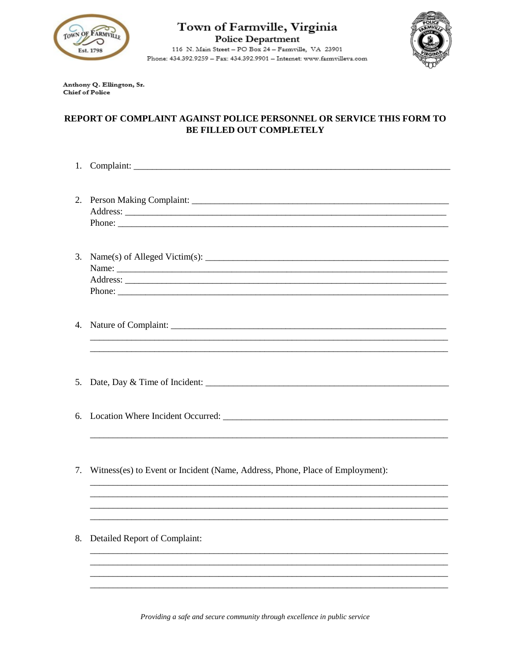

## Town of Farmville, Virginia **Police Department**

116 N. Main Street - PO Box 24 - Farmville, VA 23901 Phone: 434.392.9259 - Fax: 434.392.9901 - Internet: www.farmvilleva.com



Anthony Q. Ellington, Sr. **Chief of Police** 

## REPORT OF COMPLAINT AGAINST POLICE PERSONNEL OR SERVICE THIS FORM TO **BE FILLED OUT COMPLETELY**

- 1. Complaint: 3. Name(s) of Alleged Victim(s):  $\frac{1}{\sqrt{1-\frac{1}{2}}}\left| \frac{1}{\sqrt{1-\frac{1}{2}}}\right|$ 5. Date, Day & Time of Incident:
- 7. Witness(es) to Event or Incident (Name, Address, Phone, Place of Employment):
- 8. Detailed Report of Complaint: